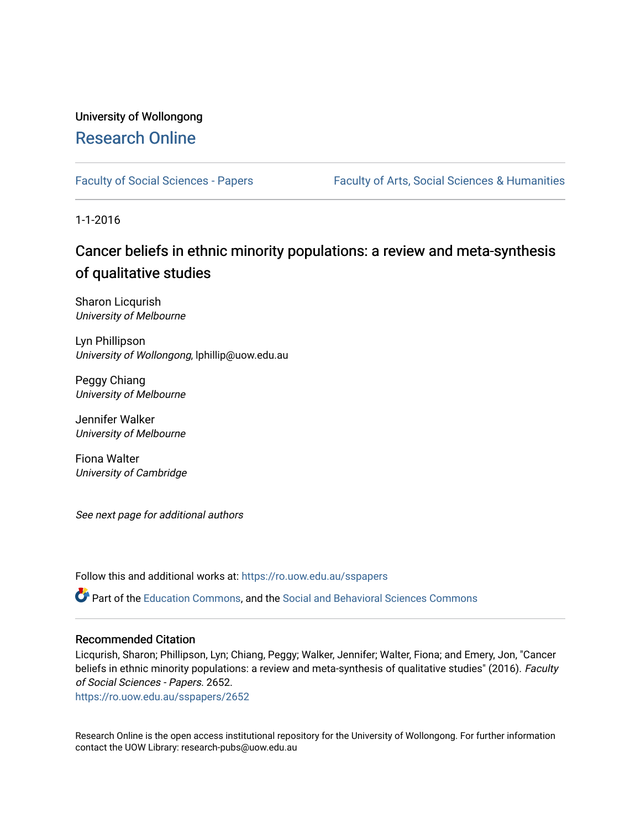# University of Wollongong [Research Online](https://ro.uow.edu.au/)

[Faculty of Social Sciences - Papers](https://ro.uow.edu.au/sspapers) Faculty of Arts, Social Sciences & Humanities

1-1-2016

# Cancer beliefs in ethnic minority populations: a review and meta-synthesis of qualitative studies

Sharon Licqurish University of Melbourne

Lyn Phillipson University of Wollongong, lphillip@uow.edu.au

Peggy Chiang University of Melbourne

Jennifer Walker University of Melbourne

Fiona Walter University of Cambridge

See next page for additional authors

Follow this and additional works at: [https://ro.uow.edu.au/sspapers](https://ro.uow.edu.au/sspapers?utm_source=ro.uow.edu.au%2Fsspapers%2F2652&utm_medium=PDF&utm_campaign=PDFCoverPages) 

Part of the [Education Commons](http://network.bepress.com/hgg/discipline/784?utm_source=ro.uow.edu.au%2Fsspapers%2F2652&utm_medium=PDF&utm_campaign=PDFCoverPages), and the [Social and Behavioral Sciences Commons](http://network.bepress.com/hgg/discipline/316?utm_source=ro.uow.edu.au%2Fsspapers%2F2652&utm_medium=PDF&utm_campaign=PDFCoverPages) 

#### Recommended Citation

Licqurish, Sharon; Phillipson, Lyn; Chiang, Peggy; Walker, Jennifer; Walter, Fiona; and Emery, Jon, "Cancer beliefs in ethnic minority populations: a review and meta-synthesis of qualitative studies" (2016). Faculty of Social Sciences - Papers. 2652.

[https://ro.uow.edu.au/sspapers/2652](https://ro.uow.edu.au/sspapers/2652?utm_source=ro.uow.edu.au%2Fsspapers%2F2652&utm_medium=PDF&utm_campaign=PDFCoverPages)

Research Online is the open access institutional repository for the University of Wollongong. For further information contact the UOW Library: research-pubs@uow.edu.au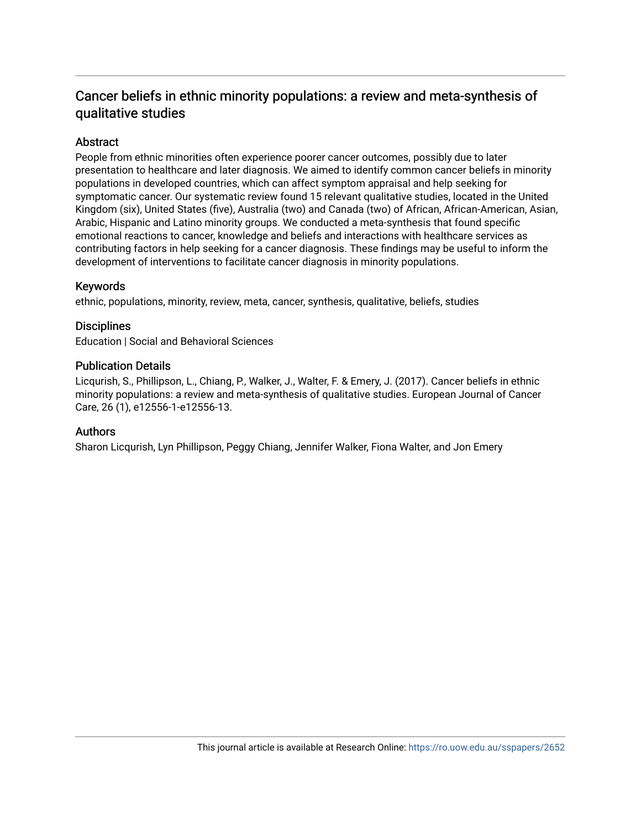# Cancer beliefs in ethnic minority populations: a review and meta-synthesis of qualitative studies

# **Abstract**

People from ethnic minorities often experience poorer cancer outcomes, possibly due to later presentation to healthcare and later diagnosis. We aimed to identify common cancer beliefs in minority populations in developed countries, which can affect symptom appraisal and help seeking for symptomatic cancer. Our systematic review found 15 relevant qualitative studies, located in the United Kingdom (six), United States (five), Australia (two) and Canada (two) of African, African-American, Asian, Arabic, Hispanic and Latino minority groups. We conducted a meta-synthesis that found specific emotional reactions to cancer, knowledge and beliefs and interactions with healthcare services as contributing factors in help seeking for a cancer diagnosis. These findings may be useful to inform the development of interventions to facilitate cancer diagnosis in minority populations.

# Keywords

ethnic, populations, minority, review, meta, cancer, synthesis, qualitative, beliefs, studies

# **Disciplines**

Education | Social and Behavioral Sciences

# Publication Details

Licqurish, S., Phillipson, L., Chiang, P., Walker, J., Walter, F. & Emery, J. (2017). Cancer beliefs in ethnic minority populations: a review and meta-synthesis of qualitative studies. European Journal of Cancer Care, 26 (1), e12556-1-e12556-13.

# Authors

Sharon Licqurish, Lyn Phillipson, Peggy Chiang, Jennifer Walker, Fiona Walter, and Jon Emery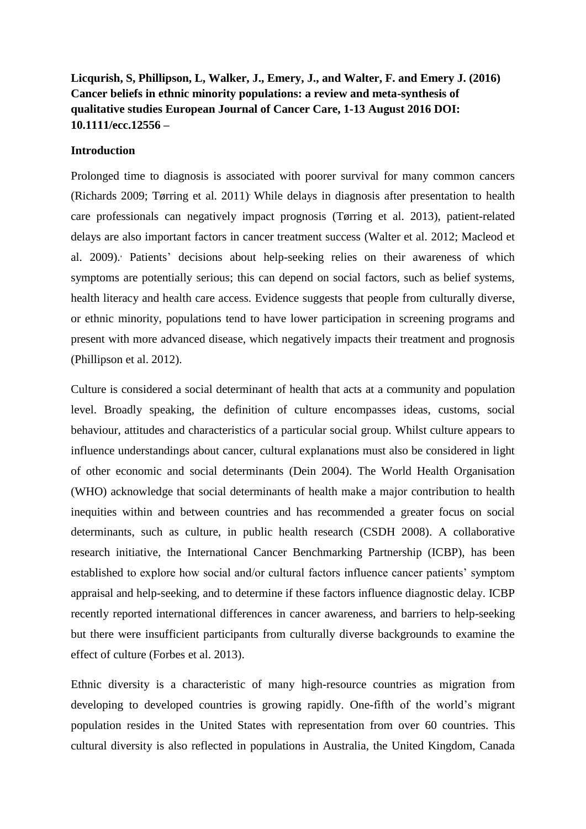# **Licqurish, S, Phillipson, L, Walker, J., Emery, J., and Walter, F. and Emery J. (2016) Cancer beliefs in ethnic minority populations: a review and meta-synthesis of qualitative studies European Journal of Cancer Care, 1-13 August 2016 DOI: 10.1111/ecc.12556 –**

# **Introduction**

Prolonged time to diagnosis is associated with poorer survival for many common cancers (Richards 2009; Tørring et al. 2011). While delays in diagnosis after presentation to health care professionals can negatively impact prognosis (Tørring et al. 2013), patient-related delays are also important factors in cancer treatment success (Walter et al. 2012; Macleod et al. 2009). Patients' decisions about help-seeking relies on their awareness of which symptoms are potentially serious; this can depend on social factors, such as belief systems, health literacy and health care access. Evidence suggests that people from culturally diverse, or ethnic minority, populations tend to have lower participation in screening programs and present with more advanced disease, which negatively impacts their treatment and prognosis (Phillipson et al. 2012).

Culture is considered a social determinant of health that acts at a community and population level. Broadly speaking, the definition of culture encompasses ideas, customs, social behaviour, attitudes and characteristics of a particular social group. Whilst culture appears to influence understandings about cancer, cultural explanations must also be considered in light of other economic and social determinants (Dein 2004). The World Health Organisation (WHO) acknowledge that social determinants of health make a major contribution to health inequities within and between countries and has recommended a greater focus on social determinants, such as culture, in public health research (CSDH 2008). A collaborative research initiative, the International Cancer Benchmarking Partnership (ICBP), has been established to explore how social and/or cultural factors influence cancer patients' symptom appraisal and help-seeking, and to determine if these factors influence diagnostic delay. ICBP recently reported international differences in cancer awareness, and barriers to help-seeking but there were insufficient participants from culturally diverse backgrounds to examine the effect of culture (Forbes et al. 2013).

Ethnic diversity is a characteristic of many high-resource countries as migration from developing to developed countries is growing rapidly. One-fifth of the world's migrant population resides in the United States with representation from over 60 countries. This cultural diversity is also reflected in populations in Australia, the United Kingdom, Canada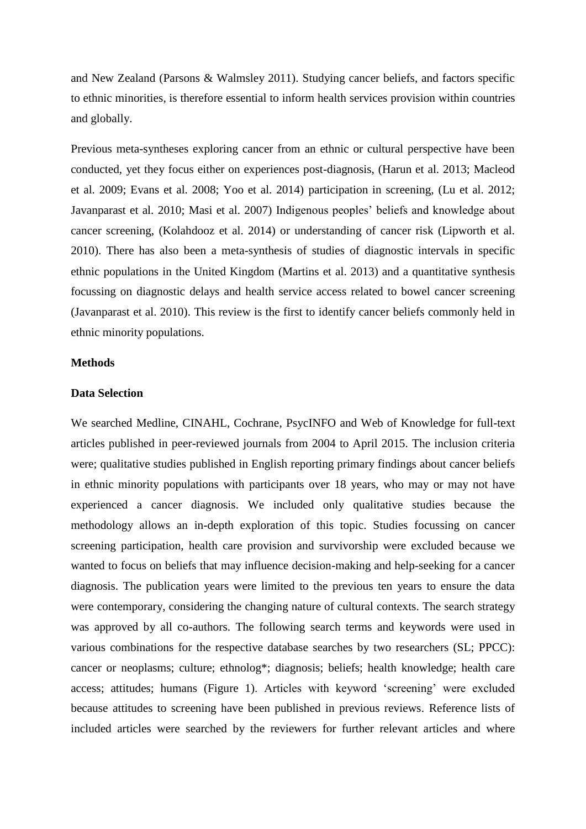and New Zealand (Parsons & Walmsley 2011). Studying cancer beliefs, and factors specific to ethnic minorities, is therefore essential to inform health services provision within countries and globally.

Previous meta-syntheses exploring cancer from an ethnic or cultural perspective have been conducted, yet they focus either on experiences post-diagnosis, (Harun et al. 2013; Macleod et al. 2009; Evans et al. 2008; Yoo et al. 2014) participation in screening, (Lu et al. 2012; Javanparast et al. 2010; Masi et al. 2007) Indigenous peoples' beliefs and knowledge about cancer screening, (Kolahdooz et al. 2014) or understanding of cancer risk (Lipworth et al. 2010). There has also been a meta-synthesis of studies of diagnostic intervals in specific ethnic populations in the United Kingdom (Martins et al. 2013) and a quantitative synthesis focussing on diagnostic delays and health service access related to bowel cancer screening (Javanparast et al. 2010). This review is the first to identify cancer beliefs commonly held in ethnic minority populations.

### **Methods**

#### **Data Selection**

We searched Medline, CINAHL, Cochrane, PsycINFO and Web of Knowledge for full-text articles published in peer-reviewed journals from 2004 to April 2015. The inclusion criteria were; qualitative studies published in English reporting primary findings about cancer beliefs in ethnic minority populations with participants over 18 years, who may or may not have experienced a cancer diagnosis. We included only qualitative studies because the methodology allows an in-depth exploration of this topic. Studies focussing on cancer screening participation, health care provision and survivorship were excluded because we wanted to focus on beliefs that may influence decision-making and help-seeking for a cancer diagnosis. The publication years were limited to the previous ten years to ensure the data were contemporary, considering the changing nature of cultural contexts. The search strategy was approved by all co-authors. The following search terms and keywords were used in various combinations for the respective database searches by two researchers (SL; PPCC): cancer or neoplasms; culture; ethnolog\*; diagnosis; beliefs; health knowledge; health care access; attitudes; humans (Figure 1). Articles with keyword 'screening' were excluded because attitudes to screening have been published in previous reviews. Reference lists of included articles were searched by the reviewers for further relevant articles and where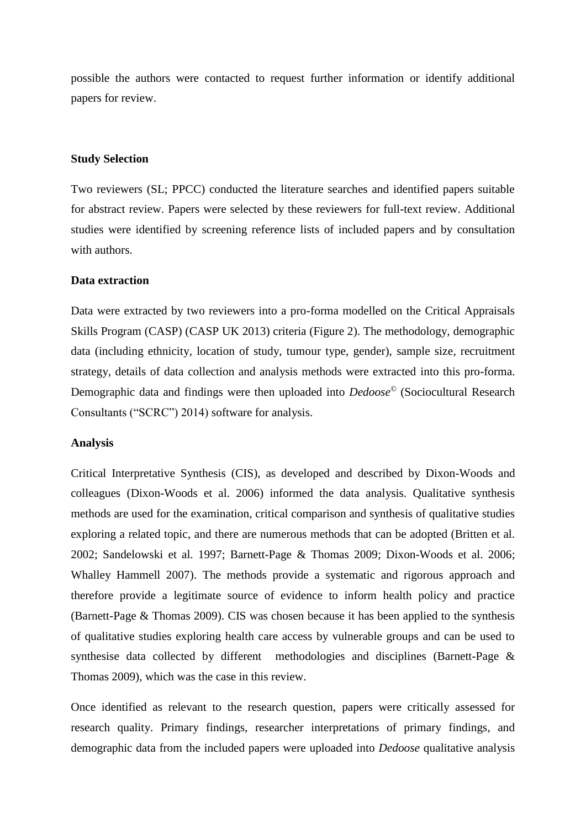possible the authors were contacted to request further information or identify additional papers for review.

#### **Study Selection**

Two reviewers (SL; PPCC) conducted the literature searches and identified papers suitable for abstract review. Papers were selected by these reviewers for full-text review. Additional studies were identified by screening reference lists of included papers and by consultation with authors.

#### **Data extraction**

Data were extracted by two reviewers into a pro-forma modelled on the Critical Appraisals Skills Program (CASP) (CASP UK 2013) criteria (Figure 2). The methodology, demographic data (including ethnicity, location of study, tumour type, gender), sample size, recruitment strategy, details of data collection and analysis methods were extracted into this pro-forma. Demographic data and findings were then uploaded into *Dedoose©* (Sociocultural Research Consultants ("SCRC") 2014) software for analysis.

#### **Analysis**

Critical Interpretative Synthesis (CIS), as developed and described by Dixon-Woods and colleagues (Dixon-Woods et al. 2006) informed the data analysis. Qualitative synthesis methods are used for the examination, critical comparison and synthesis of qualitative studies exploring a related topic, and there are numerous methods that can be adopted (Britten et al. 2002; Sandelowski et al. 1997; Barnett-Page & Thomas 2009; Dixon-Woods et al. 2006; Whalley Hammell 2007). The methods provide a systematic and rigorous approach and therefore provide a legitimate source of evidence to inform health policy and practice (Barnett-Page & Thomas 2009). CIS was chosen because it has been applied to the synthesis of qualitative studies exploring health care access by vulnerable groups and can be used to synthesise data collected by different methodologies and disciplines (Barnett-Page & Thomas 2009), which was the case in this review.

Once identified as relevant to the research question, papers were critically assessed for research quality. Primary findings, researcher interpretations of primary findings, and demographic data from the included papers were uploaded into *Dedoose* qualitative analysis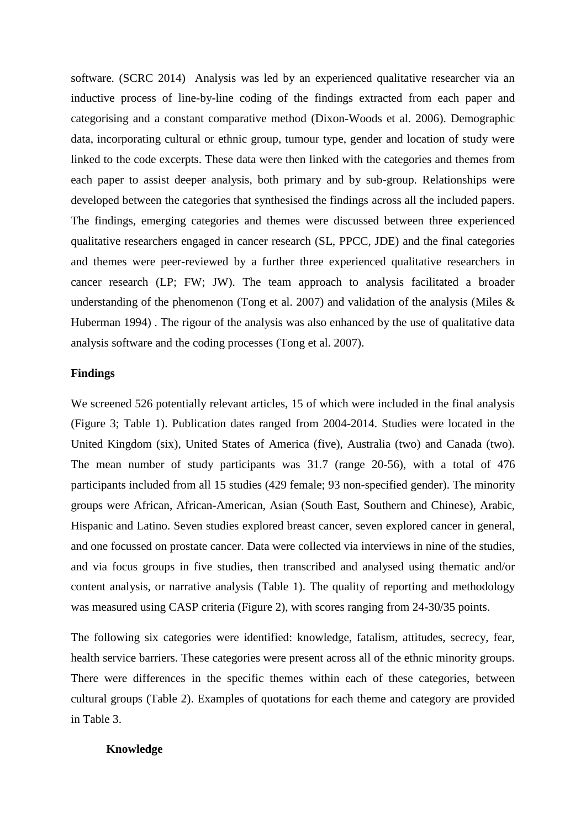software. (SCRC 2014) Analysis was led by an experienced qualitative researcher via an inductive process of line-by-line coding of the findings extracted from each paper and categorising and a constant comparative method (Dixon-Woods et al. 2006). Demographic data, incorporating cultural or ethnic group, tumour type, gender and location of study were linked to the code excerpts. These data were then linked with the categories and themes from each paper to assist deeper analysis, both primary and by sub-group. Relationships were developed between the categories that synthesised the findings across all the included papers. The findings, emerging categories and themes were discussed between three experienced qualitative researchers engaged in cancer research (SL, PPCC, JDE) and the final categories and themes were peer-reviewed by a further three experienced qualitative researchers in cancer research (LP; FW; JW). The team approach to analysis facilitated a broader understanding of the phenomenon (Tong et al. 2007) and validation of the analysis (Miles & Huberman 1994) . The rigour of the analysis was also enhanced by the use of qualitative data analysis software and the coding processes (Tong et al. 2007).

#### **Findings**

We screened 526 potentially relevant articles, 15 of which were included in the final analysis (Figure 3; Table 1). Publication dates ranged from 2004-2014. Studies were located in the United Kingdom (six), United States of America (five), Australia (two) and Canada (two). The mean number of study participants was 31.7 (range 20-56), with a total of 476 participants included from all 15 studies (429 female; 93 non-specified gender). The minority groups were African, African-American, Asian (South East, Southern and Chinese), Arabic, Hispanic and Latino. Seven studies explored breast cancer, seven explored cancer in general, and one focussed on prostate cancer. Data were collected via interviews in nine of the studies, and via focus groups in five studies, then transcribed and analysed using thematic and/or content analysis, or narrative analysis (Table 1). The quality of reporting and methodology was measured using CASP criteria (Figure 2), with scores ranging from 24-30/35 points.

The following six categories were identified: knowledge, fatalism, attitudes, secrecy, fear, health service barriers. These categories were present across all of the ethnic minority groups. There were differences in the specific themes within each of these categories, between cultural groups (Table 2). Examples of quotations for each theme and category are provided in Table 3.

#### **Knowledge**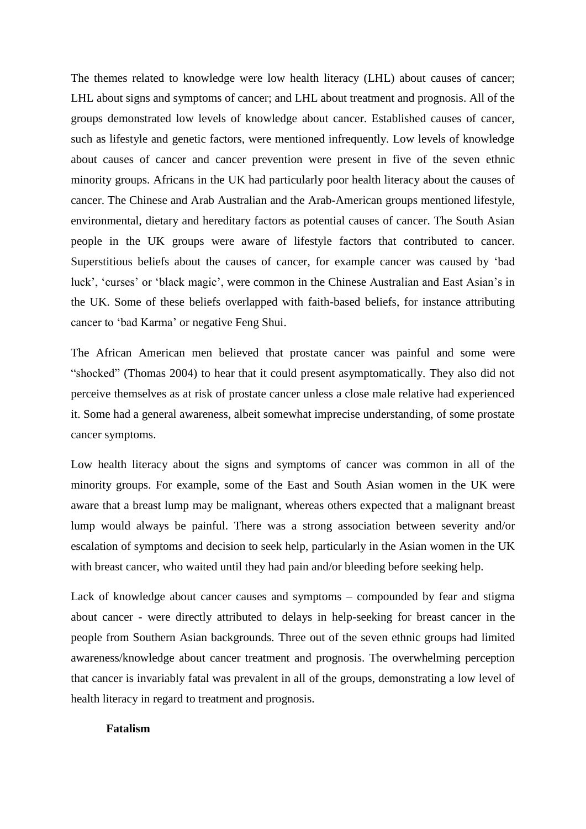The themes related to knowledge were low health literacy (LHL) about causes of cancer; LHL about signs and symptoms of cancer; and LHL about treatment and prognosis. All of the groups demonstrated low levels of knowledge about cancer. Established causes of cancer, such as lifestyle and genetic factors, were mentioned infrequently. Low levels of knowledge about causes of cancer and cancer prevention were present in five of the seven ethnic minority groups. Africans in the UK had particularly poor health literacy about the causes of cancer. The Chinese and Arab Australian and the Arab-American groups mentioned lifestyle, environmental, dietary and hereditary factors as potential causes of cancer. The South Asian people in the UK groups were aware of lifestyle factors that contributed to cancer. Superstitious beliefs about the causes of cancer, for example cancer was caused by 'bad luck', 'curses' or 'black magic', were common in the Chinese Australian and East Asian's in the UK. Some of these beliefs overlapped with faith-based beliefs, for instance attributing cancer to 'bad Karma' or negative Feng Shui.

The African American men believed that prostate cancer was painful and some were "shocked" (Thomas 2004) to hear that it could present asymptomatically. They also did not perceive themselves as at risk of prostate cancer unless a close male relative had experienced it. Some had a general awareness, albeit somewhat imprecise understanding, of some prostate cancer symptoms.

Low health literacy about the signs and symptoms of cancer was common in all of the minority groups. For example, some of the East and South Asian women in the UK were aware that a breast lump may be malignant, whereas others expected that a malignant breast lump would always be painful. There was a strong association between severity and/or escalation of symptoms and decision to seek help, particularly in the Asian women in the UK with breast cancer, who waited until they had pain and/or bleeding before seeking help.

Lack of knowledge about cancer causes and symptoms – compounded by fear and stigma about cancer - were directly attributed to delays in help-seeking for breast cancer in the people from Southern Asian backgrounds. Three out of the seven ethnic groups had limited awareness/knowledge about cancer treatment and prognosis. The overwhelming perception that cancer is invariably fatal was prevalent in all of the groups, demonstrating a low level of health literacy in regard to treatment and prognosis.

# **Fatalism**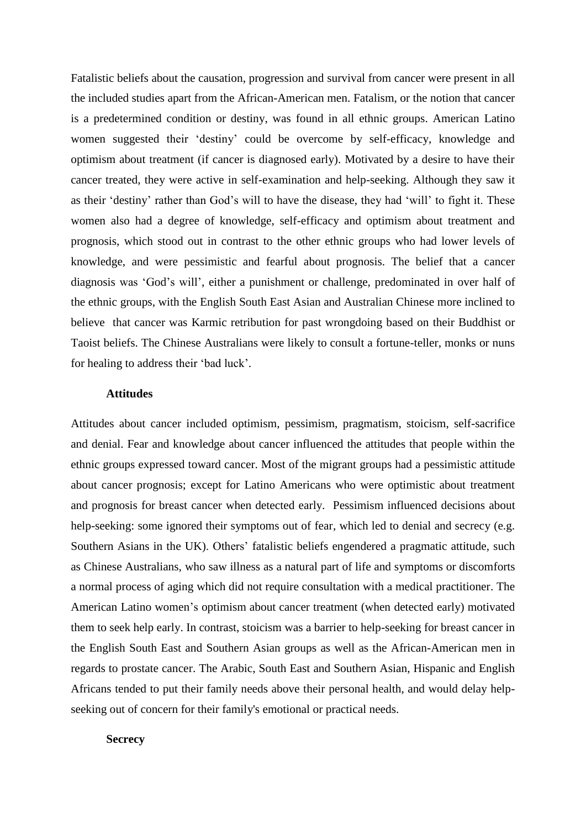Fatalistic beliefs about the causation, progression and survival from cancer were present in all the included studies apart from the African-American men. Fatalism, or the notion that cancer is a predetermined condition or destiny, was found in all ethnic groups. American Latino women suggested their 'destiny' could be overcome by self-efficacy, knowledge and optimism about treatment (if cancer is diagnosed early). Motivated by a desire to have their cancer treated, they were active in self-examination and help-seeking. Although they saw it as their 'destiny' rather than God's will to have the disease, they had 'will' to fight it. These women also had a degree of knowledge, self-efficacy and optimism about treatment and prognosis, which stood out in contrast to the other ethnic groups who had lower levels of knowledge, and were pessimistic and fearful about prognosis. The belief that a cancer diagnosis was 'God's will', either a punishment or challenge, predominated in over half of the ethnic groups, with the English South East Asian and Australian Chinese more inclined to believe that cancer was Karmic retribution for past wrongdoing based on their Buddhist or Taoist beliefs. The Chinese Australians were likely to consult a fortune-teller, monks or nuns for healing to address their 'bad luck'.

### **Attitudes**

Attitudes about cancer included optimism, pessimism, pragmatism, stoicism, self-sacrifice and denial. Fear and knowledge about cancer influenced the attitudes that people within the ethnic groups expressed toward cancer. Most of the migrant groups had a pessimistic attitude about cancer prognosis; except for Latino Americans who were optimistic about treatment and prognosis for breast cancer when detected early. Pessimism influenced decisions about help-seeking: some ignored their symptoms out of fear, which led to denial and secrecy (e.g. Southern Asians in the UK). Others' fatalistic beliefs engendered a pragmatic attitude, such as Chinese Australians, who saw illness as a natural part of life and symptoms or discomforts a normal process of aging which did not require consultation with a medical practitioner. The American Latino women's optimism about cancer treatment (when detected early) motivated them to seek help early. In contrast, stoicism was a barrier to help-seeking for breast cancer in the English South East and Southern Asian groups as well as the African-American men in regards to prostate cancer. The Arabic, South East and Southern Asian, Hispanic and English Africans tended to put their family needs above their personal health, and would delay helpseeking out of concern for their family's emotional or practical needs.

#### **Secrecy**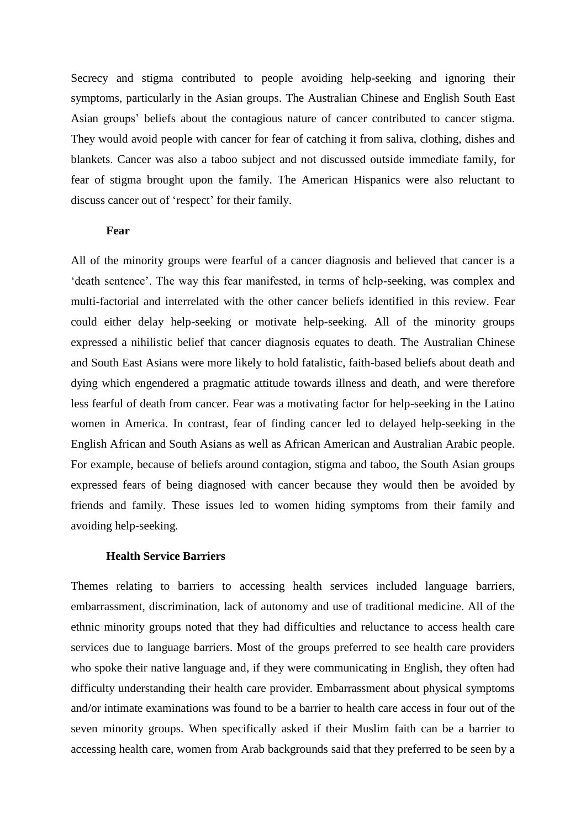Secrecy and stigma contributed to people avoiding help-seeking and ignoring their symptoms, particularly in the Asian groups. The Australian Chinese and English South East Asian groups' beliefs about the contagious nature of cancer contributed to cancer stigma. They would avoid people with cancer for fear of catching it from saliva, clothing, dishes and blankets. Cancer was also a taboo subject and not discussed outside immediate family, for fear of stigma brought upon the family. The American Hispanics were also reluctant to discuss cancer out of 'respect' for their family.

### **Fear**

All of the minority groups were fearful of a cancer diagnosis and believed that cancer is a 'death sentence'. The way this fear manifested, in terms of help-seeking, was complex and multi-factorial and interrelated with the other cancer beliefs identified in this review. Fear could either delay help-seeking or motivate help-seeking. All of the minority groups expressed a nihilistic belief that cancer diagnosis equates to death. The Australian Chinese and South East Asians were more likely to hold fatalistic, faith-based beliefs about death and dying which engendered a pragmatic attitude towards illness and death, and were therefore less fearful of death from cancer. Fear was a motivating factor for help-seeking in the Latino women in America. In contrast, fear of finding cancer led to delayed help-seeking in the English African and South Asians as well as African American and Australian Arabic people. For example, because of beliefs around contagion, stigma and taboo, the South Asian groups expressed fears of being diagnosed with cancer because they would then be avoided by friends and family. These issues led to women hiding symptoms from their family and avoiding help-seeking.

### **Health Service Barriers**

Themes relating to barriers to accessing health services included language barriers, embarrassment, discrimination, lack of autonomy and use of traditional medicine. All of the ethnic minority groups noted that they had difficulties and reluctance to access health care services due to language barriers. Most of the groups preferred to see health care providers who spoke their native language and, if they were communicating in English, they often had difficulty understanding their health care provider. Embarrassment about physical symptoms and/or intimate examinations was found to be a barrier to health care access in four out of the seven minority groups. When specifically asked if their Muslim faith can be a barrier to accessing health care, women from Arab backgrounds said that they preferred to be seen by a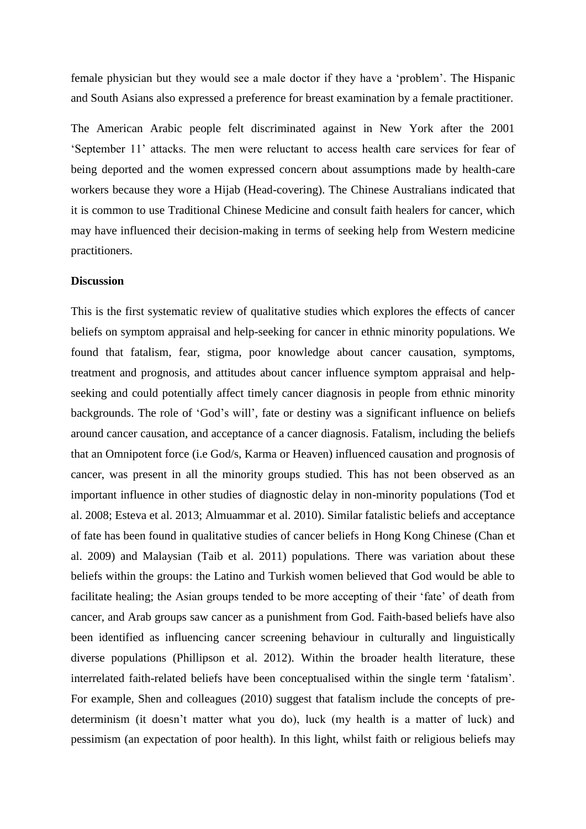female physician but they would see a male doctor if they have a 'problem'. The Hispanic and South Asians also expressed a preference for breast examination by a female practitioner.

The American Arabic people felt discriminated against in New York after the 2001 'September 11' attacks. The men were reluctant to access health care services for fear of being deported and the women expressed concern about assumptions made by health-care workers because they wore a Hijab (Head-covering). The Chinese Australians indicated that it is common to use Traditional Chinese Medicine and consult faith healers for cancer, which may have influenced their decision-making in terms of seeking help from Western medicine practitioners.

# **Discussion**

This is the first systematic review of qualitative studies which explores the effects of cancer beliefs on symptom appraisal and help-seeking for cancer in ethnic minority populations. We found that fatalism, fear, stigma, poor knowledge about cancer causation, symptoms, treatment and prognosis, and attitudes about cancer influence symptom appraisal and helpseeking and could potentially affect timely cancer diagnosis in people from ethnic minority backgrounds. The role of 'God's will', fate or destiny was a significant influence on beliefs around cancer causation, and acceptance of a cancer diagnosis. Fatalism, including the beliefs that an Omnipotent force (i.e God/s, Karma or Heaven) influenced causation and prognosis of cancer, was present in all the minority groups studied. This has not been observed as an important influence in other studies of diagnostic delay in non-minority populations (Tod et al. 2008; Esteva et al. 2013; Almuammar et al. 2010). Similar fatalistic beliefs and acceptance of fate has been found in qualitative studies of cancer beliefs in Hong Kong Chinese (Chan et al. 2009) and Malaysian (Taib et al. 2011) populations. There was variation about these beliefs within the groups: the Latino and Turkish women believed that God would be able to facilitate healing; the Asian groups tended to be more accepting of their 'fate' of death from cancer, and Arab groups saw cancer as a punishment from God. Faith-based beliefs have also been identified as influencing cancer screening behaviour in culturally and linguistically diverse populations (Phillipson et al. 2012). Within the broader health literature, these interrelated faith-related beliefs have been conceptualised within the single term 'fatalism'. For example, Shen and colleagues (2010) suggest that fatalism include the concepts of predeterminism (it doesn't matter what you do), luck (my health is a matter of luck) and pessimism (an expectation of poor health). In this light, whilst faith or religious beliefs may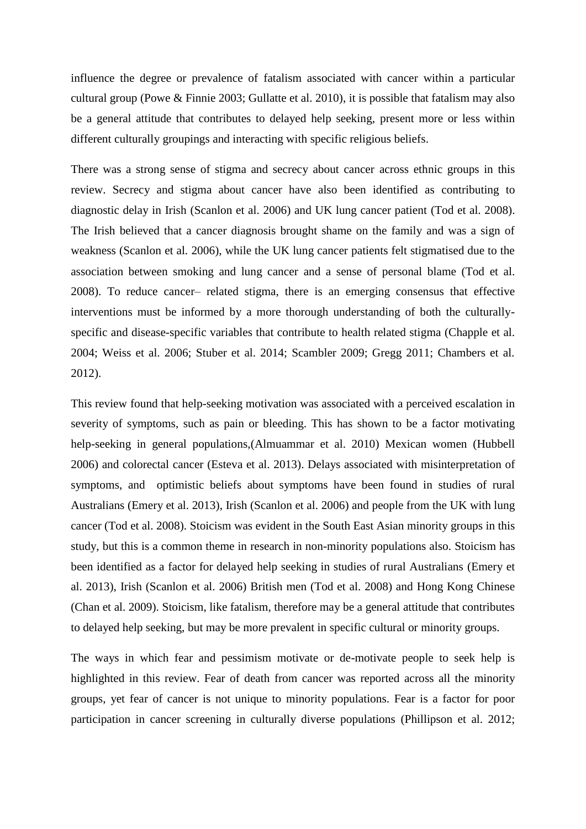influence the degree or prevalence of fatalism associated with cancer within a particular cultural group (Powe & Finnie 2003; Gullatte et al. 2010), it is possible that fatalism may also be a general attitude that contributes to delayed help seeking, present more or less within different culturally groupings and interacting with specific religious beliefs.

There was a strong sense of stigma and secrecy about cancer across ethnic groups in this review. Secrecy and stigma about cancer have also been identified as contributing to diagnostic delay in Irish (Scanlon et al. 2006) and UK lung cancer patient (Tod et al. 2008). The Irish believed that a cancer diagnosis brought shame on the family and was a sign of weakness (Scanlon et al. 2006), while the UK lung cancer patients felt stigmatised due to the association between smoking and lung cancer and a sense of personal blame (Tod et al. 2008). To reduce cancer– related stigma, there is an emerging consensus that effective interventions must be informed by a more thorough understanding of both the culturallyspecific and disease-specific variables that contribute to health related stigma (Chapple et al. 2004; Weiss et al. 2006; Stuber et al. 2014; Scambler 2009; Gregg 2011; Chambers et al. 2012).

This review found that help-seeking motivation was associated with a perceived escalation in severity of symptoms, such as pain or bleeding. This has shown to be a factor motivating help-seeking in general populations,(Almuammar et al. 2010) Mexican women (Hubbell 2006) and colorectal cancer (Esteva et al. 2013). Delays associated with misinterpretation of symptoms, and optimistic beliefs about symptoms have been found in studies of rural Australians (Emery et al. 2013), Irish (Scanlon et al. 2006) and people from the UK with lung cancer (Tod et al. 2008). Stoicism was evident in the South East Asian minority groups in this study, but this is a common theme in research in non-minority populations also. Stoicism has been identified as a factor for delayed help seeking in studies of rural Australians (Emery et al. 2013), Irish (Scanlon et al. 2006) British men (Tod et al. 2008) and Hong Kong Chinese (Chan et al. 2009). Stoicism, like fatalism, therefore may be a general attitude that contributes to delayed help seeking, but may be more prevalent in specific cultural or minority groups.

The ways in which fear and pessimism motivate or de-motivate people to seek help is highlighted in this review. Fear of death from cancer was reported across all the minority groups, yet fear of cancer is not unique to minority populations. Fear is a factor for poor participation in cancer screening in culturally diverse populations (Phillipson et al. 2012;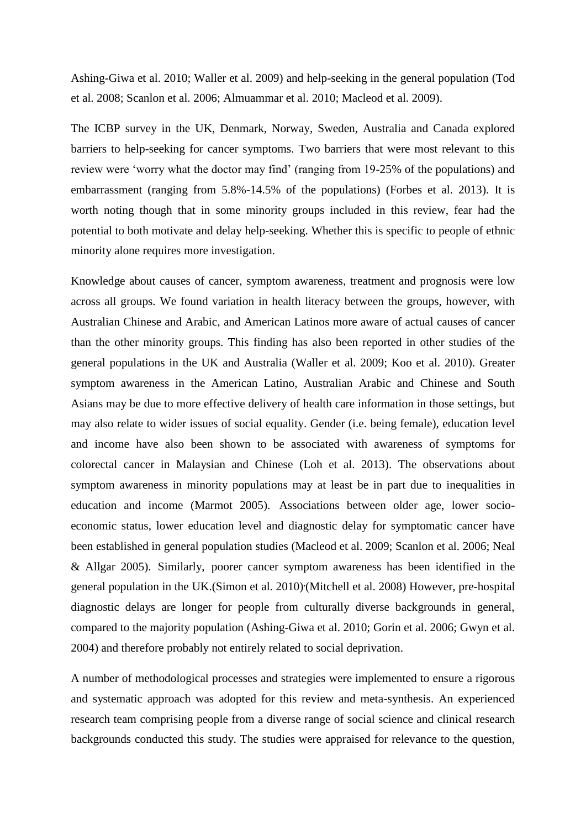Ashing-Giwa et al. 2010; Waller et al. 2009) and help-seeking in the general population (Tod et al. 2008; Scanlon et al. 2006; Almuammar et al. 2010; Macleod et al. 2009).

The ICBP survey in the UK, Denmark, Norway, Sweden, Australia and Canada explored barriers to help-seeking for cancer symptoms. Two barriers that were most relevant to this review were 'worry what the doctor may find' (ranging from 19-25% of the populations) and embarrassment (ranging from 5.8%-14.5% of the populations) (Forbes et al. 2013). It is worth noting though that in some minority groups included in this review, fear had the potential to both motivate and delay help-seeking. Whether this is specific to people of ethnic minority alone requires more investigation.

Knowledge about causes of cancer, symptom awareness, treatment and prognosis were low across all groups. We found variation in health literacy between the groups, however, with Australian Chinese and Arabic, and American Latinos more aware of actual causes of cancer than the other minority groups. This finding has also been reported in other studies of the general populations in the UK and Australia (Waller et al. 2009; Koo et al. 2010). Greater symptom awareness in the American Latino, Australian Arabic and Chinese and South Asians may be due to more effective delivery of health care information in those settings, but may also relate to wider issues of social equality. Gender (i.e. being female), education level and income have also been shown to be associated with awareness of symptoms for colorectal cancer in Malaysian and Chinese (Loh et al. 2013). The observations about symptom awareness in minority populations may at least be in part due to inequalities in education and income (Marmot 2005). Associations between older age, lower socioeconomic status, lower education level and diagnostic delay for symptomatic cancer have been established in general population studies (Macleod et al. 2009; Scanlon et al. 2006; Neal & Allgar 2005). Similarly, poorer cancer symptom awareness has been identified in the general population in the UK.(Simon et al. 2010) (Mitchell et al. 2008) However, pre-hospital diagnostic delays are longer for people from culturally diverse backgrounds in general, compared to the majority population (Ashing-Giwa et al. 2010; Gorin et al. 2006; Gwyn et al. 2004) and therefore probably not entirely related to social deprivation.

A number of methodological processes and strategies were implemented to ensure a rigorous and systematic approach was adopted for this review and meta-synthesis. An experienced research team comprising people from a diverse range of social science and clinical research backgrounds conducted this study. The studies were appraised for relevance to the question,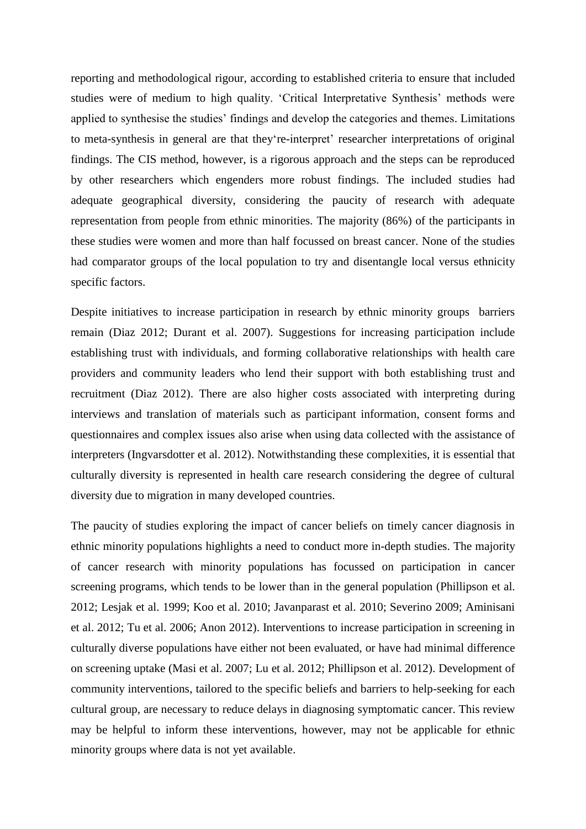reporting and methodological rigour, according to established criteria to ensure that included studies were of medium to high quality. 'Critical Interpretative Synthesis' methods were applied to synthesise the studies' findings and develop the categories and themes. Limitations to meta-synthesis in general are that they're-interpret' researcher interpretations of original findings. The CIS method, however, is a rigorous approach and the steps can be reproduced by other researchers which engenders more robust findings. The included studies had adequate geographical diversity, considering the paucity of research with adequate representation from people from ethnic minorities. The majority (86%) of the participants in these studies were women and more than half focussed on breast cancer. None of the studies had comparator groups of the local population to try and disentangle local versus ethnicity specific factors.

Despite initiatives to increase participation in research by ethnic minority groups barriers remain (Diaz 2012; Durant et al. 2007). Suggestions for increasing participation include establishing trust with individuals, and forming collaborative relationships with health care providers and community leaders who lend their support with both establishing trust and recruitment (Diaz 2012). There are also higher costs associated with interpreting during interviews and translation of materials such as participant information, consent forms and questionnaires and complex issues also arise when using data collected with the assistance of interpreters (Ingvarsdotter et al. 2012). Notwithstanding these complexities, it is essential that culturally diversity is represented in health care research considering the degree of cultural diversity due to migration in many developed countries.

The paucity of studies exploring the impact of cancer beliefs on timely cancer diagnosis in ethnic minority populations highlights a need to conduct more in-depth studies. The majority of cancer research with minority populations has focussed on participation in cancer screening programs, which tends to be lower than in the general population (Phillipson et al. 2012; Lesjak et al. 1999; Koo et al. 2010; Javanparast et al. 2010; Severino 2009; Aminisani et al. 2012; Tu et al. 2006; Anon 2012). Interventions to increase participation in screening in culturally diverse populations have either not been evaluated, or have had minimal difference on screening uptake (Masi et al. 2007; Lu et al. 2012; Phillipson et al. 2012). Development of community interventions, tailored to the specific beliefs and barriers to help-seeking for each cultural group, are necessary to reduce delays in diagnosing symptomatic cancer. This review may be helpful to inform these interventions, however, may not be applicable for ethnic minority groups where data is not yet available.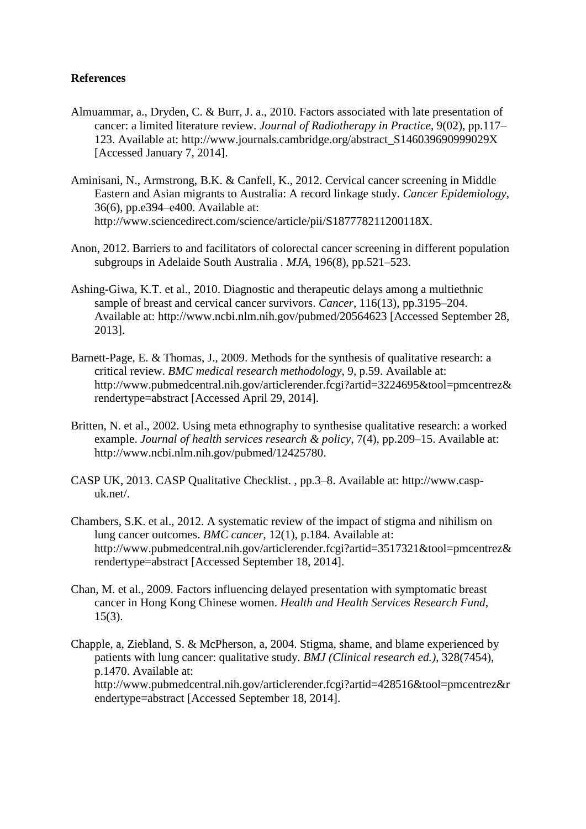# **References**

- Almuammar, a., Dryden, C. & Burr, J. a., 2010. Factors associated with late presentation of cancer: a limited literature review. *Journal of Radiotherapy in Practice*, 9(02), pp.117– 123. Available at: http://www.journals.cambridge.org/abstract\_S146039690999029X [Accessed January 7, 2014].
- Aminisani, N., Armstrong, B.K. & Canfell, K., 2012. Cervical cancer screening in Middle Eastern and Asian migrants to Australia: A record linkage study. *Cancer Epidemiology*, 36(6), pp.e394–e400. Available at: http://www.sciencedirect.com/science/article/pii/S187778211200118X.
- Anon, 2012. Barriers to and facilitators of colorectal cancer screening in different population subgroups in Adelaide South Australia . *MJA*, 196(8), pp.521–523.
- Ashing-Giwa, K.T. et al., 2010. Diagnostic and therapeutic delays among a multiethnic sample of breast and cervical cancer survivors. *Cancer*, 116(13), pp.3195–204. Available at: http://www.ncbi.nlm.nih.gov/pubmed/20564623 [Accessed September 28, 2013].
- Barnett-Page, E. & Thomas, J., 2009. Methods for the synthesis of qualitative research: a critical review. *BMC medical research methodology*, 9, p.59. Available at: http://www.pubmedcentral.nih.gov/articlerender.fcgi?artid=3224695&tool=pmcentrez& rendertype=abstract [Accessed April 29, 2014].
- Britten, N. et al., 2002. Using meta ethnography to synthesise qualitative research: a worked example. *Journal of health services research & policy*, 7(4), pp.209–15. Available at: http://www.ncbi.nlm.nih.gov/pubmed/12425780.
- CASP UK, 2013. CASP Qualitative Checklist. , pp.3–8. Available at: http://www.caspuk.net/.
- Chambers, S.K. et al., 2012. A systematic review of the impact of stigma and nihilism on lung cancer outcomes. *BMC cancer*, 12(1), p.184. Available at: http://www.pubmedcentral.nih.gov/articlerender.fcgi?artid=3517321&tool=pmcentrez& rendertype=abstract [Accessed September 18, 2014].
- Chan, M. et al., 2009. Factors influencing delayed presentation with symptomatic breast cancer in Hong Kong Chinese women. *Health and Health Services Research Fund*, 15(3).
- Chapple, a, Ziebland, S. & McPherson, a, 2004. Stigma, shame, and blame experienced by patients with lung cancer: qualitative study. *BMJ (Clinical research ed.)*, 328(7454), p.1470. Available at: http://www.pubmedcentral.nih.gov/articlerender.fcgi?artid=428516&tool=pmcentrez&r endertype=abstract [Accessed September 18, 2014].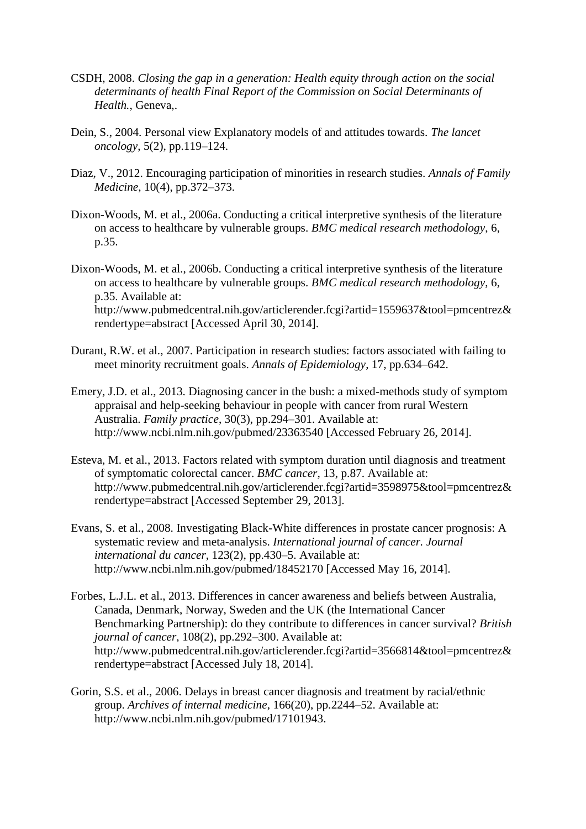- CSDH, 2008. *Closing the gap in a generation: Health equity through action on the social determinants of health Final Report of the Commission on Social Determinants of Health.*, Geneva,.
- Dein, S., 2004. Personal view Explanatory models of and attitudes towards. *The lancet oncology*, 5(2), pp.119–124.
- Diaz, V., 2012. Encouraging participation of minorities in research studies. *Annals of Family Medicine*, 10(4), pp.372–373.
- Dixon-Woods, M. et al., 2006a. Conducting a critical interpretive synthesis of the literature on access to healthcare by vulnerable groups. *BMC medical research methodology*, 6, p.35.
- Dixon-Woods, M. et al., 2006b. Conducting a critical interpretive synthesis of the literature on access to healthcare by vulnerable groups. *BMC medical research methodology*, 6, p.35. Available at: http://www.pubmedcentral.nih.gov/articlerender.fcgi?artid=1559637&tool=pmcentrez& rendertype=abstract [Accessed April 30, 2014].
- Durant, R.W. et al., 2007. Participation in research studies: factors associated with failing to meet minority recruitment goals. *Annals of Epidemiology*, 17, pp.634–642.
- Emery, J.D. et al., 2013. Diagnosing cancer in the bush: a mixed-methods study of symptom appraisal and help-seeking behaviour in people with cancer from rural Western Australia. *Family practice*, 30(3), pp.294–301. Available at: http://www.ncbi.nlm.nih.gov/pubmed/23363540 [Accessed February 26, 2014].
- Esteva, M. et al., 2013. Factors related with symptom duration until diagnosis and treatment of symptomatic colorectal cancer. *BMC cancer*, 13, p.87. Available at: http://www.pubmedcentral.nih.gov/articlerender.fcgi?artid=3598975&tool=pmcentrez& rendertype=abstract [Accessed September 29, 2013].
- Evans, S. et al., 2008. Investigating Black-White differences in prostate cancer prognosis: A systematic review and meta-analysis. *International journal of cancer. Journal international du cancer*, 123(2), pp.430–5. Available at: http://www.ncbi.nlm.nih.gov/pubmed/18452170 [Accessed May 16, 2014].
- Forbes, L.J.L. et al., 2013. Differences in cancer awareness and beliefs between Australia, Canada, Denmark, Norway, Sweden and the UK (the International Cancer Benchmarking Partnership): do they contribute to differences in cancer survival? *British journal of cancer*, 108(2), pp.292–300. Available at: http://www.pubmedcentral.nih.gov/articlerender.fcgi?artid=3566814&tool=pmcentrez& rendertype=abstract [Accessed July 18, 2014].
- Gorin, S.S. et al., 2006. Delays in breast cancer diagnosis and treatment by racial/ethnic group. *Archives of internal medicine*, 166(20), pp.2244–52. Available at: http://www.ncbi.nlm.nih.gov/pubmed/17101943.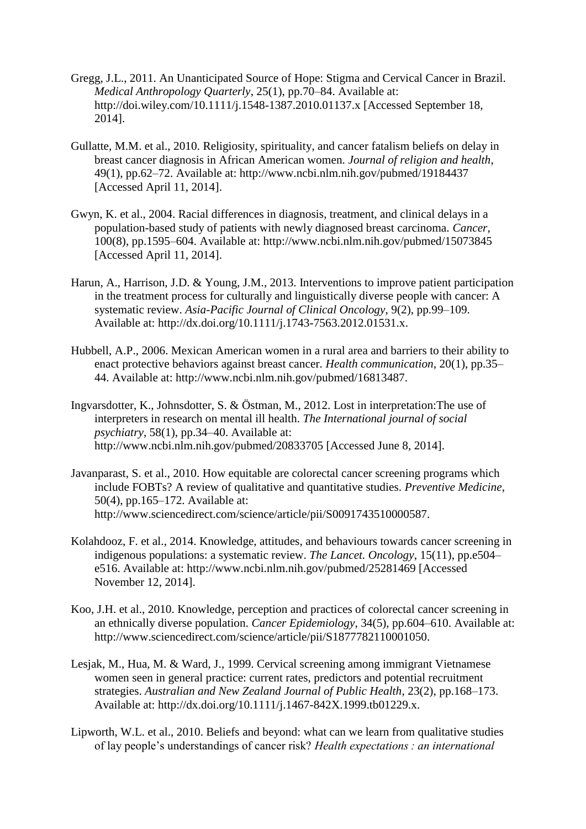- Gregg, J.L., 2011. An Unanticipated Source of Hope: Stigma and Cervical Cancer in Brazil. *Medical Anthropology Quarterly*, 25(1), pp.70–84. Available at: http://doi.wiley.com/10.1111/j.1548-1387.2010.01137.x [Accessed September 18, 2014].
- Gullatte, M.M. et al., 2010. Religiosity, spirituality, and cancer fatalism beliefs on delay in breast cancer diagnosis in African American women. *Journal of religion and health*, 49(1), pp.62–72. Available at: http://www.ncbi.nlm.nih.gov/pubmed/19184437 [Accessed April 11, 2014].
- Gwyn, K. et al., 2004. Racial differences in diagnosis, treatment, and clinical delays in a population-based study of patients with newly diagnosed breast carcinoma. *Cancer*, 100(8), pp.1595–604. Available at: http://www.ncbi.nlm.nih.gov/pubmed/15073845 [Accessed April 11, 2014].
- Harun, A., Harrison, J.D. & Young, J.M., 2013. Interventions to improve patient participation in the treatment process for culturally and linguistically diverse people with cancer: A systematic review. *Asia-Pacific Journal of Clinical Oncology*, 9(2), pp.99–109. Available at: http://dx.doi.org/10.1111/j.1743-7563.2012.01531.x.
- Hubbell, A.P., 2006. Mexican American women in a rural area and barriers to their ability to enact protective behaviors against breast cancer. *Health communication*, 20(1), pp.35– 44. Available at: http://www.ncbi.nlm.nih.gov/pubmed/16813487.
- Ingvarsdotter, K., Johnsdotter, S. & Östman, M., 2012. Lost in interpretation:The use of interpreters in research on mental ill health. *The International journal of social psychiatry*, 58(1), pp.34–40. Available at: http://www.ncbi.nlm.nih.gov/pubmed/20833705 [Accessed June 8, 2014].
- Javanparast, S. et al., 2010. How equitable are colorectal cancer screening programs which include FOBTs? A review of qualitative and quantitative studies. *Preventive Medicine*, 50(4), pp.165–172. Available at: http://www.sciencedirect.com/science/article/pii/S0091743510000587.
- Kolahdooz, F. et al., 2014. Knowledge, attitudes, and behaviours towards cancer screening in indigenous populations: a systematic review. *The Lancet. Oncology*, 15(11), pp.e504– e516. Available at: http://www.ncbi.nlm.nih.gov/pubmed/25281469 [Accessed November 12, 2014].
- Koo, J.H. et al., 2010. Knowledge, perception and practices of colorectal cancer screening in an ethnically diverse population. *Cancer Epidemiology*, 34(5), pp.604–610. Available at: http://www.sciencedirect.com/science/article/pii/S1877782110001050.
- Lesjak, M., Hua, M. & Ward, J., 1999. Cervical screening among immigrant Vietnamese women seen in general practice: current rates, predictors and potential recruitment strategies. *Australian and New Zealand Journal of Public Health*, 23(2), pp.168–173. Available at: http://dx.doi.org/10.1111/j.1467-842X.1999.tb01229.x.
- Lipworth, W.L. et al., 2010. Beliefs and beyond: what can we learn from qualitative studies of lay people's understandings of cancer risk? *Health expectations : an international*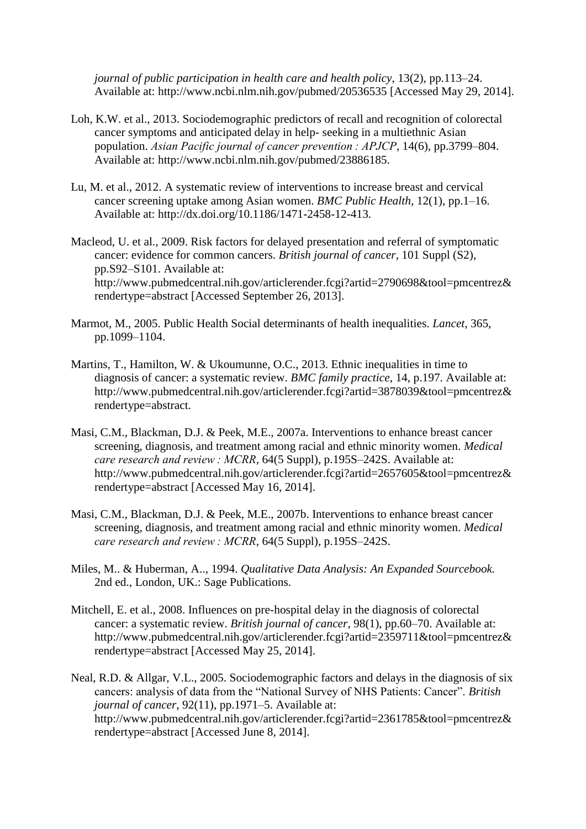*journal of public participation in health care and health policy*, 13(2), pp.113–24. Available at: http://www.ncbi.nlm.nih.gov/pubmed/20536535 [Accessed May 29, 2014].

- Loh, K.W. et al., 2013. Sociodemographic predictors of recall and recognition of colorectal cancer symptoms and anticipated delay in help- seeking in a multiethnic Asian population. *Asian Pacific journal of cancer prevention : APJCP*, 14(6), pp.3799–804. Available at: http://www.ncbi.nlm.nih.gov/pubmed/23886185.
- Lu, M. et al., 2012. A systematic review of interventions to increase breast and cervical cancer screening uptake among Asian women. *BMC Public Health*, 12(1), pp.1–16. Available at: http://dx.doi.org/10.1186/1471-2458-12-413.
- Macleod, U. et al., 2009. Risk factors for delayed presentation and referral of symptomatic cancer: evidence for common cancers. *British journal of cancer*, 101 Suppl (S2), pp.S92–S101. Available at: http://www.pubmedcentral.nih.gov/articlerender.fcgi?artid=2790698&tool=pmcentrez& rendertype=abstract [Accessed September 26, 2013].
- Marmot, M., 2005. Public Health Social determinants of health inequalities. *Lancet*, 365, pp.1099–1104.
- Martins, T., Hamilton, W. & Ukoumunne, O.C., 2013. Ethnic inequalities in time to diagnosis of cancer: a systematic review. *BMC family practice*, 14, p.197. Available at: http://www.pubmedcentral.nih.gov/articlerender.fcgi?artid=3878039&tool=pmcentrez& rendertype=abstract.
- Masi, C.M., Blackman, D.J. & Peek, M.E., 2007a. Interventions to enhance breast cancer screening, diagnosis, and treatment among racial and ethnic minority women. *Medical care research and review : MCRR*, 64(5 Suppl), p.195S–242S. Available at: http://www.pubmedcentral.nih.gov/articlerender.fcgi?artid=2657605&tool=pmcentrez& rendertype=abstract [Accessed May 16, 2014].
- Masi, C.M., Blackman, D.J. & Peek, M.E., 2007b. Interventions to enhance breast cancer screening, diagnosis, and treatment among racial and ethnic minority women. *Medical care research and review : MCRR*, 64(5 Suppl), p.195S–242S.
- Miles, M.. & Huberman, A.., 1994. *Qualitative Data Analysis: An Expanded Sourcebook.* 2nd ed., London, UK.: Sage Publications.
- Mitchell, E. et al., 2008. Influences on pre-hospital delay in the diagnosis of colorectal cancer: a systematic review. *British journal of cancer*, 98(1), pp.60–70. Available at: http://www.pubmedcentral.nih.gov/articlerender.fcgi?artid=2359711&tool=pmcentrez& rendertype=abstract [Accessed May 25, 2014].
- Neal, R.D. & Allgar, V.L., 2005. Sociodemographic factors and delays in the diagnosis of six cancers: analysis of data from the "National Survey of NHS Patients: Cancer". *British journal of cancer*, 92(11), pp.1971–5. Available at: http://www.pubmedcentral.nih.gov/articlerender.fcgi?artid=2361785&tool=pmcentrez& rendertype=abstract [Accessed June 8, 2014].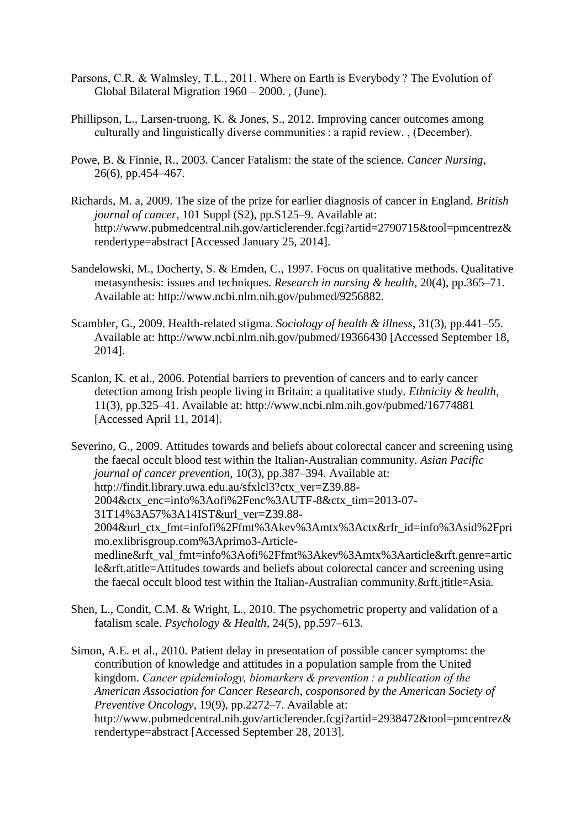- Parsons, C.R. & Walmsley, T.L., 2011. Where on Earth is Everybody ? The Evolution of Global Bilateral Migration 1960 – 2000. , (June).
- Phillipson, L., Larsen-truong, K. & Jones, S., 2012. Improving cancer outcomes among culturally and linguistically diverse communities : a rapid review. , (December).
- Powe, B. & Finnie, R., 2003. Cancer Fatalism: the state of the science. *Cancer Nursing*, 26(6), pp.454–467.
- Richards, M. a, 2009. The size of the prize for earlier diagnosis of cancer in England. *British journal of cancer*, 101 Suppl (S2), pp. S125–9. Available at: http://www.pubmedcentral.nih.gov/articlerender.fcgi?artid=2790715&tool=pmcentrez& rendertype=abstract [Accessed January 25, 2014].
- Sandelowski, M., Docherty, S. & Emden, C., 1997. Focus on qualitative methods. Qualitative metasynthesis: issues and techniques. *Research in nursing & health*, 20(4), pp.365–71. Available at: http://www.ncbi.nlm.nih.gov/pubmed/9256882.
- Scambler, G., 2009. Health-related stigma. *Sociology of health & illness*, 31(3), pp.441–55. Available at: http://www.ncbi.nlm.nih.gov/pubmed/19366430 [Accessed September 18, 2014].
- Scanlon, K. et al., 2006. Potential barriers to prevention of cancers and to early cancer detection among Irish people living in Britain: a qualitative study. *Ethnicity & health*, 11(3), pp.325–41. Available at: http://www.ncbi.nlm.nih.gov/pubmed/16774881 [Accessed April 11, 2014].

Severino, G., 2009. Attitudes towards and beliefs about colorectal cancer and screening using the faecal occult blood test within the Italian-Australian community. *Asian Pacific journal of cancer prevention*, 10(3), pp.387–394. Available at: http://findit.library.uwa.edu.au/sfxlcl3?ctx\_ver=Z39.88- 2004&ctx\_enc=info%3Aofi%2Fenc%3AUTF-8&ctx\_tim=2013-07- 31T14%3A57%3A14IST&url\_ver=Z39.88- 2004&url\_ctx\_fmt=infofi%2Ffmt%3Akev%3Amtx%3Actx&rfr\_id=info%3Asid%2Fpri mo.exlibrisgroup.com%3Aprimo3-Articlemedline&rft\_val\_fmt=info%3Aofi%2Ffmt%3Akev%3Amtx%3Aarticle&rft.genre=artic le&rft.atitle=Attitudes towards and beliefs about colorectal cancer and screening using the faecal occult blood test within the Italian-Australian community.&rft.jtitle=Asia.

Shen, L., Condit, C.M. & Wright, L., 2010. The psychometric property and validation of a fatalism scale. *Psychology & Health*, 24(5), pp.597–613.

Simon, A.E. et al., 2010. Patient delay in presentation of possible cancer symptoms: the contribution of knowledge and attitudes in a population sample from the United kingdom. *Cancer epidemiology, biomarkers & prevention : a publication of the American Association for Cancer Research, cosponsored by the American Society of Preventive Oncology*, 19(9), pp.2272–7. Available at: http://www.pubmedcentral.nih.gov/articlerender.fcgi?artid=2938472&tool=pmcentrez& rendertype=abstract [Accessed September 28, 2013].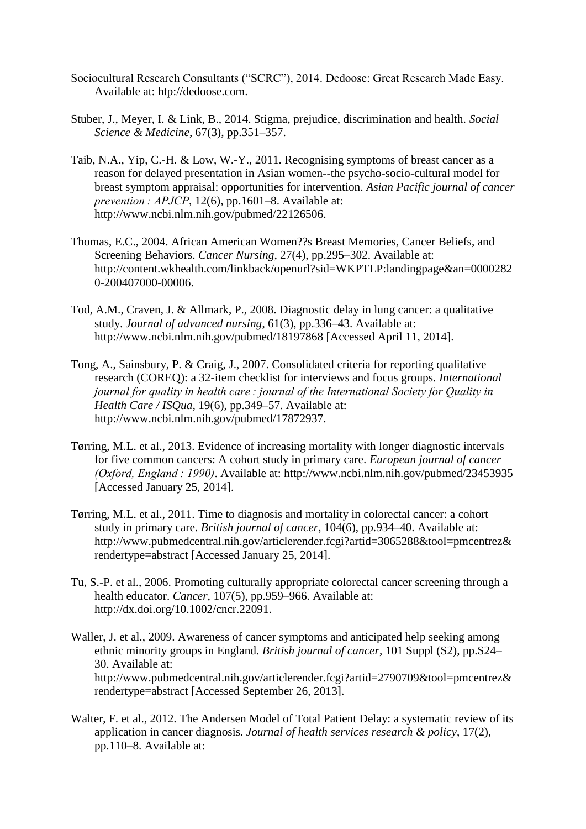- Sociocultural Research Consultants ("SCRC"), 2014. Dedoose: Great Research Made Easy. Available at: htp://dedoose.com.
- Stuber, J., Meyer, I. & Link, B., 2014. Stigma, prejudice, discrimination and health. *Social Science & Medicine*, 67(3), pp.351–357.
- Taib, N.A., Yip, C.-H. & Low, W.-Y., 2011. Recognising symptoms of breast cancer as a reason for delayed presentation in Asian women--the psycho-socio-cultural model for breast symptom appraisal: opportunities for intervention. *Asian Pacific journal of cancer prevention : APJCP*, 12(6), pp.1601–8. Available at: http://www.ncbi.nlm.nih.gov/pubmed/22126506.
- Thomas, E.C., 2004. African American Women??s Breast Memories, Cancer Beliefs, and Screening Behaviors. *Cancer Nursing*, 27(4), pp.295–302. Available at: http://content.wkhealth.com/linkback/openurl?sid=WKPTLP:landingpage&an=0000282 0-200407000-00006.
- Tod, A.M., Craven, J. & Allmark, P., 2008. Diagnostic delay in lung cancer: a qualitative study. *Journal of advanced nursing*, 61(3), pp.336–43. Available at: http://www.ncbi.nlm.nih.gov/pubmed/18197868 [Accessed April 11, 2014].
- Tong, A., Sainsbury, P. & Craig, J., 2007. Consolidated criteria for reporting qualitative research (COREQ): a 32-item checklist for interviews and focus groups. *International journal for quality in health care : journal of the International Society for Quality in Health Care / ISQua*, 19(6), pp.349–57. Available at: http://www.ncbi.nlm.nih.gov/pubmed/17872937.
- Tørring, M.L. et al., 2013. Evidence of increasing mortality with longer diagnostic intervals for five common cancers: A cohort study in primary care. *European journal of cancer (Oxford, England : 1990)*. Available at: http://www.ncbi.nlm.nih.gov/pubmed/23453935 [Accessed January 25, 2014].
- Tørring, M.L. et al., 2011. Time to diagnosis and mortality in colorectal cancer: a cohort study in primary care. *British journal of cancer*, 104(6), pp.934–40. Available at: http://www.pubmedcentral.nih.gov/articlerender.fcgi?artid=3065288&tool=pmcentrez& rendertype=abstract [Accessed January 25, 2014].
- Tu, S.-P. et al., 2006. Promoting culturally appropriate colorectal cancer screening through a health educator. *Cancer*, 107(5), pp.959–966. Available at: http://dx.doi.org/10.1002/cncr.22091.
- Waller, J. et al., 2009. Awareness of cancer symptoms and anticipated help seeking among ethnic minority groups in England. *British journal of cancer*, 101 Suppl (S2), pp.S24– 30. Available at: http://www.pubmedcentral.nih.gov/articlerender.fcgi?artid=2790709&tool=pmcentrez& rendertype=abstract [Accessed September 26, 2013].
- Walter, F. et al., 2012. The Andersen Model of Total Patient Delay: a systematic review of its application in cancer diagnosis. *Journal of health services research & policy*, 17(2), pp.110–8. Available at: